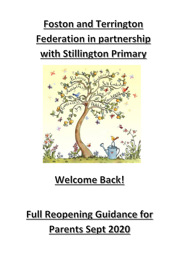## **Foston and Terrington** Federation in partnership with Stillington Primary



### Welcome Back!

## **Full Reopening Guidance for Parents Sept 2020**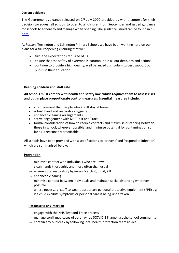#### **Current guidance**

The Government guidance released on  $2<sup>nd</sup>$  July 2020 provided us with a context for their decision torequest all schools to open to all children from September and issued guidance for schools to adhere to and manage when opening. The guidance issued can be found in full **[here](https://www.gov.uk/government/publications/actions-for-schools-during-the-coronavirus-outbreak/guidance-for-full-opening-schools)**.

At Foston, Terrington and Stillington Primary Schools we have been working hard on our plans for a full reopening ensuring that we:

- fulfil the expectations required of us
- ensure that the safety of everyone is paramount in all our decisions and actions
- continue to provide a high quality, well balanced curriculum to best support our pupils in their education.

#### **Keeping children and staff safe**

**All schools must comply with health and safety law, which requires them to assess risks and put in place proportionate control measures. Essential measures include:**

- a requirement that people who are ill stay at home
- robust hand and respiratory hygiene
- enhanced cleaning arrangements
- active engagement with NHS Test and Trace
- formal consideration of how to reduce contacts and maximise distancing between those in school, wherever possible, and minimise potential for contamination so far as is reasonably practicable

All schools have been provided with a set of actions to 'prevent' and 'respond to infection' which are summarised below:

#### **Prevention**

- $\rightarrow$  minimise contact with individuals who are unwell
- $\rightarrow$  clean hands thoroughly and more often than usual
- $\rightarrow$  ensure good respiratory hygiene 'catch it, bin it, kill it'
- $\rightarrow$  enhanced cleaning
- $\rightarrow$  minimise contact between individuals and maintain social distancing wherever possible
- $\rightarrow$  where necessary, staff to wear appropriate personal protective equipment (PPE) eg: if a child exhibits symptoms or personal care is being undertaken

#### **Response to any infection**

- $\rightarrow$  engage with the NHS Test and Trace process
- $\rightarrow$  manage confirmed cases of coronavirus (COVID-19) amongst the school community
- $\rightarrow$  contain any outbreak by following local health protection team advice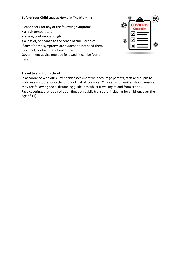#### **Before Your Child Leaves Home in The Morning**

Please check for any of the following symptoms

- a high temperature
- a new, continuous cough
- a loss of, or change to the sense of smell or taste

If any of these symptoms are evident do not send them to school, contact the school office.

Government advice must be followed, it can be found [here.](https://www.gov.uk/coronavirus?gclid=EAIaIQobChMI_tzD-Mvd6QIVxbTtCh3s_QgYEAAYASAAEgKB4fD_BwE)

# 戀

#### **Travel to and from school**

In accordance with our current risk assessment we encourage parents, staff and pupils to walk, use a scooter or cycle to school if at all possible. Children and families should ensure they are following social distancing guidelines whilst travelling to and from school. Face coverings are required at all times on public transport (including for children, over the age of 11)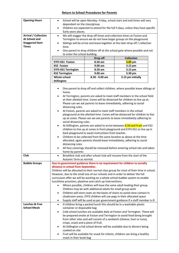#### **Return to School Procedures for Parents**

| <b>Opening Hours</b>        | School will be open Monday- Friday, school start and end times will vary<br>$\bullet$                                                                 |                                                                  |                                                                                          |
|-----------------------------|-------------------------------------------------------------------------------------------------------------------------------------------------------|------------------------------------------------------------------|------------------------------------------------------------------------------------------|
|                             | dependant on the class/group.                                                                                                                         |                                                                  |                                                                                          |
|                             | $\bullet$                                                                                                                                             |                                                                  | Children are expected to attend for the full 5 days, unless they have specific           |
| <b>Arrival / Collection</b> | Early years places.                                                                                                                                   |                                                                  |                                                                                          |
| At School and               | $\bullet$                                                                                                                                             |                                                                  | We will stagger the drop off times and collection times at Foston and                    |
| <b>Staggered Start</b>      | Terrington to ensure we do not have larger groups on the playground.<br>Siblings will be arrive and leave together at the later drop off / collection |                                                                  |                                                                                          |
| <b>Times</b>                | time.                                                                                                                                                 |                                                                  |                                                                                          |
|                             | One parent to drop children off at the school gate where possible and not                                                                             |                                                                  |                                                                                          |
|                             | to enter the school building.                                                                                                                         |                                                                  |                                                                                          |
|                             |                                                                                                                                                       | Drop off                                                         | <b>Collection</b>                                                                        |
|                             | <b>EYFS KS1 Foston</b>                                                                                                                                | 8.50 am                                                          | 3.05 pm                                                                                  |
|                             | <b>KS2 Foston</b>                                                                                                                                     | 9.00 am                                                          | 3.15 pm                                                                                  |
|                             | <b>EYFS KS1 Terrington</b>                                                                                                                            | 8.50 am                                                          | 3.15 pm                                                                                  |
|                             | <b>KS2 Terrington</b>                                                                                                                                 | 9.00 am                                                          | 3.30 pm                                                                                  |
|                             | <b>Whole school</b>                                                                                                                                   | 8.50 - 9.00 am                                                   | 3.15 pm initially                                                                        |
|                             | <b>Stillington</b>                                                                                                                                    |                                                                  |                                                                                          |
|                             |                                                                                                                                                       |                                                                  |                                                                                          |
|                             | One parent to drop off and collect children, where possible leave siblings at                                                                         |                                                                  |                                                                                          |
|                             | home.<br>At Terrington, parents are asked to meet staff members in the school field                                                                   |                                                                  |                                                                                          |
|                             | $\bullet$                                                                                                                                             |                                                                  | at their allotted time. Cones will be distanced for children to line up at.              |
|                             |                                                                                                                                                       |                                                                  |                                                                                          |
|                             | Please can we ask parents to leave immediately, adhering to social<br>distancing rules.                                                               |                                                                  |                                                                                          |
|                             | $\bullet$                                                                                                                                             | At Foston, parents are asked to meet staff members in the school |                                                                                          |
|                             |                                                                                                                                                       |                                                                  | playground at the allotted time. Cones will be distanced for children to line            |
|                             |                                                                                                                                                       |                                                                  | up at cones. Please can we ask parents to leave immediately adhering to                  |
|                             | social distancing rules.                                                                                                                              |                                                                  |                                                                                          |
|                             | ٠                                                                                                                                                     |                                                                  | At Stillington, parents are asked to arrive between 8.50 and 9 am and KS2                |
|                             |                                                                                                                                                       |                                                                  | children to line up at cones in front playground and EYFS KS1 to line up in              |
|                             |                                                                                                                                                       | back playground to await instructions from teacher.              |                                                                                          |
|                             | $\bullet$                                                                                                                                             |                                                                  | Children to be collected from the same location as above at the time                     |
|                             |                                                                                                                                                       |                                                                  | allocated, again parents should leave immediately, adhering to social                    |
|                             | distancing rules.                                                                                                                                     |                                                                  | All face coverings should be removed before entering school site and taken               |
|                             | home by parents                                                                                                                                       |                                                                  |                                                                                          |
| Club                        |                                                                                                                                                       |                                                                  | Breakfast club and after school club will resume from the start of the                   |
|                             | Autumn Term as normal.                                                                                                                                |                                                                  |                                                                                          |
| <b>Bubble Groups</b>        |                                                                                                                                                       |                                                                  | Due to government guidance there is no requirement for children to socially              |
|                             | distance in school from September.                                                                                                                    |                                                                  |                                                                                          |
|                             |                                                                                                                                                       |                                                                  | Children will be allocated to their normal class group for most of their time in school. |
|                             | However, due to the small size of our schools and in order to deliver the full                                                                        |                                                                  |                                                                                          |
|                             |                                                                                                                                                       |                                                                  | curriculum offer we will be working on a whole school bubble system to enable            |
|                             | lunchtime provision, playtime and catch up interventions.                                                                                             |                                                                  |                                                                                          |
|                             |                                                                                                                                                       | Children may be with additional adults for small group work      | Where possible, children will have the same adult leading their group.                   |
|                             | ٠                                                                                                                                                     |                                                                  | Children will store coats on the backs of chairs to avoid close contact in               |
|                             |                                                                                                                                                       |                                                                  | cloakroom areas. EYFS children will use pegs in their allocated space                    |
|                             | $\bullet$                                                                                                                                             |                                                                  | Supply staff will be used as per government guidance if a staff member is ill            |
| <b>Lunches &amp; Free</b>   | $\bullet$                                                                                                                                             |                                                                  | If children bring a packed lunch this should be in a washable plastic                    |
| <b>School Meals</b>         | container or disposable bag                                                                                                                           |                                                                  |                                                                                          |
|                             | $\bullet$                                                                                                                                             |                                                                  | Cold school lunches are available daily at Foston and Terrington. These will             |
|                             |                                                                                                                                                       |                                                                  | be prepared onsite at Foston and Terrington to avoid food being brought                  |
|                             |                                                                                                                                                       |                                                                  | from other sites and will consist of a sandwich (cheese, ham or tuna),                   |
|                             | crisps, snack and a piece of fruit.                                                                                                                   |                                                                  |                                                                                          |
|                             | ٠                                                                                                                                                     |                                                                  | At Stillington a full school dinner will be available due to dinners being               |
|                             | cooked on site                                                                                                                                        |                                                                  |                                                                                          |
|                             |                                                                                                                                                       |                                                                  | Fruit will be available for snack for infants, children can bring a healthy              |
|                             | snack in their book bag                                                                                                                               |                                                                  |                                                                                          |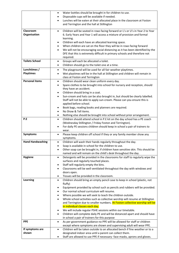|                         | Water bottles should be brought in for children to use.<br>$\bullet$                                                                         |
|-------------------------|----------------------------------------------------------------------------------------------------------------------------------------------|
|                         | Disposable cups will be available if needed.<br>٠                                                                                            |
|                         | Lunches will be eaten at their allocated place in the classroom at Foston<br>$\bullet$                                                       |
|                         | and Terrington and the hall at Stillington                                                                                                   |
| Classroom               | Children will be seated in rows facing forward or L's or U's in Year 2 to Year<br>$\bullet$                                                  |
| Organisation            | 6. Early Years and Year 1 will access a mixture of provision and formal                                                                      |
|                         | learning.                                                                                                                                    |
|                         | Children will each have an allocated learning space.<br>$\bullet$                                                                            |
|                         | When children are sat on the floor they will be in rows facing forward<br>$\bullet$                                                          |
|                         | We will not be encouraging social distancing as it has been identified by the<br>$\bullet$                                                   |
|                         | DFE that this is extremely difficult in primary schools and therefore not                                                                    |
|                         | required.                                                                                                                                    |
| <b>Toilets School</b>   | Groups will each be allocated a toilet.<br>$\bullet$                                                                                         |
|                         | Children should go to the toilet one at a time.<br>$\bullet$                                                                                 |
| Lunchtimes /            | The playground will be used for all fair weather playtimes.<br>$\bullet$                                                                     |
| <b>Playtimes</b>        | Wet playtimes will be in the hall at Stillington and children will remain in                                                                 |
| <b>Personal items</b>   | class at Foston and Terrington                                                                                                               |
|                         | Children should wear clean uniform every day.<br>$\bullet$<br>Spare clothes to be brought into school for nursery and reception, should<br>٠ |
|                         | they have an accident.                                                                                                                       |
|                         | Children should bring in a coat.<br>$\bullet$                                                                                                |
|                         | Sun-cream and hats can be also brought in, but should be clearly labelled.<br>$\bullet$                                                      |
|                         | Staff will not be able to apply sun-cream. Please can you ensure this is                                                                     |
|                         | applied before school.                                                                                                                       |
|                         | Book bags, reading books and planners are required.<br>٠                                                                                     |
|                         | No Show & Tell items.<br>$\bullet$                                                                                                           |
|                         | Nothing else should be brought into school without prior arrangement.<br>٠                                                                   |
| P.E                     | Children should attend school in P.E kit on the day school has a PE coach<br>$\bullet$                                                       |
|                         | (Wednesday Stillington / Friday Foston and Terrington).                                                                                      |
|                         | For daily PE sessions children should keep in school a pair of trainers to<br>٠<br>wear.                                                     |
| <b>Symptoms</b>         | Please keep children off school if they or any family member show any<br>$\bullet$                                                           |
|                         | symptoms.                                                                                                                                    |
| <b>Hand Handwashing</b> | Children will wash their hands regularly throughout the day.<br>$\bullet$                                                                    |
|                         | Soap is available in school for the children to use.                                                                                         |
|                         | Other soap can be brought in, if children have sensitive skin. This should be                                                                |
|                         | named and will remain on the child's desk throughout the day.                                                                                |
| <b>Hygiene</b>          | Detergents will be provided in the classrooms for staff to regularly wipe the<br>$\bullet$                                                   |
|                         | surfaces and regularly touched places.                                                                                                       |
|                         | Staff will regularly empty the bins.<br>٠<br>Classrooms will be well ventilated throughout the day with windows and<br>$\bullet$             |
|                         | doors open.                                                                                                                                  |
|                         | Tissues will be provided in the classroom.<br>٠                                                                                              |
| Learning                | Children should bring an empty pencil case to keep in school (plastic, not<br>$\bullet$                                                      |
|                         | fluffy)                                                                                                                                      |
|                         | Equipment provided by school such as pencils and rubbers will be provided.<br>$\bullet$                                                      |
|                         | Our normal school curriculum will resume.<br>$\bullet$                                                                                       |
|                         | Where possible we will seek to teach the children outside.<br>$\bullet$                                                                      |
|                         | Whole school activities such as collective worship will resume at Stillington<br>$\bullet$                                                   |
|                         | and Terrington due to smaller numbers. At Foston collective worship will be<br>in individual classes each day.                               |
|                         | We will include regular PSHE sessions within our timetable.<br>٠                                                                             |
|                         | Children will complete daily PE and will be distanced apart and should have<br>$\bullet$                                                     |
|                         | in school a pair of trainers for this purpose                                                                                                |
| <b>PPE</b>              | As per government guidance no PPE will be allowed for staff or children<br>$\bullet$                                                         |
|                         | except where symptoms are shown and supervising adult will wear PPE.                                                                         |
| If symptoms are         | Children will be taken outside to an allocated bench if fine weather or to a<br>$\bullet$                                                    |
| shown                   | designated indoor area until a parent can collect them.                                                                                      |
|                         | Staff are allowed to use PPE if necessary- face masks, aprons and gloves.                                                                    |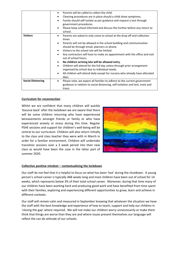|                          | Parents will be called to collect the child.<br>$\bullet$                               |  |
|--------------------------|-----------------------------------------------------------------------------------------|--|
|                          | Cleaning procedures are in place should a child show symptoms.<br>$\bullet$             |  |
|                          | Family should self-isolate as per guidance and request a test through<br>$\bullet$      |  |
|                          | government procedures.                                                                  |  |
|                          | Please keep school informed and discuss this further before any return to<br>٠          |  |
|                          | school.                                                                                 |  |
| <b>Visitors</b>          | Parents are asked to only come to school at the drop off and collection<br>$\bullet$    |  |
|                          | times.                                                                                  |  |
|                          | Parents will not be allowed in the school building and communication<br>$\bullet$       |  |
|                          | should be through email, planners or phone.                                             |  |
|                          | Visitors to the school site will be limited.<br>$\bullet$                               |  |
|                          | Any contractors will have to make an appointment with the office and visit<br>$\bullet$ |  |
|                          | out of school hours.                                                                    |  |
|                          | No children arriving late will be allowed entry.<br>٠                                   |  |
|                          | Children will attend for the full day unless through prior arrangement<br>$\bullet$     |  |
|                          | organised by school due to individual needs.                                            |  |
|                          | All children will attend daily except for nursery who already have allocated<br>٠       |  |
|                          | days.                                                                                   |  |
| <b>Social Distancing</b> | Please note, we expect all families to adhere to the current government<br>$\bullet$    |  |
|                          | guidance in relation to social distancing, self-isolation and test, track and           |  |
|                          | trace.                                                                                  |  |

#### **Curriculum for reconnection**

Whilst we are confident that many children will quickly 'bounce back' after the lockdown we are aware that there will be some children returning who have experienced bereavements amongst friends or family or who have experienced anxiety or stress during this time. Regular PSHE sessions and support for children's well-being will be central to our curriculum. Children will also return initially to the class and class teacher they were with in March in order for a familiar environment. Children will undertake transition sessions over a 3 week period into their new class as would have been the case in the latter part of summer 2020.



#### **Collective positive mindset – contextualising the lockdown**

Our staff do not feel that it is helpful to focus on what has been 'lost' during the shutdown. A young person's school career is typically 468 weeks long and most children have been out of school for 14 weeks, which represents below 3% of their total school career. Moreover, during that time many of our children have been working hard and producing good work and have benefited from time spent with their families, exploring and experiencing different opportunities to grow, learn and achieve in different contexts.

Our staff will remain calm and measured in September knowing that whatever the situation we have the staff with the best knowledge and experience of how to teach, support and help our children in 'closing the gap' where required. We will not make our children worry unnecessarily or make them think that things are worse than they are and where issues present themselves our language will reflect the can do attitude of our schools.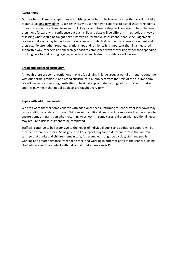#### **Assessment**

Our teachers will make adaptations establishing 'what has to be learned' rather than sticking rigidly to our usual [long term plans.](https://www.pegasusacademytrust.org/curriculum) Class teachers will use their own expertise to establish starting points for each class in the autumn term and will likely have to take 'a step back' in order to help children then move forward with confidence but each child and class will be different. In schools this way of assessing what should be taught next is known as 'formative assessment', that is the judgements teachers make on a day to day basis during class work which allow them to assess attainment and progress. To strengthen routines, relationships and resilience it is important that, in a measured supportive way, teachers and children get back to established ways of working rather than spending too long on a formal testing regime, especially when children's confidence will be low.

#### **Broad and balanced curriculum**.

Although there are some restrictions in place (eg singing in large groups) we fully intend to continue with our normal ambitious and broad curriculum in all subjects from the start of the autumn term. We will make use of existing flexibilities to begin at appropriate starting points for all our children and this may mean that not all subjects are taught every term.

#### **Pupils with additional needs**.

We are aware that for some children with additional needs, returning to school after lockdown may cause additional anxiety or stress. Children with additional needs will be supported by the school to ensure a smooth transition when returning to school. In some cases, children with additional needs may require a risk assessment to be completed.

Staff will continue to be responsive to the needs of individual pupils and additional support will be provided where necessary. Small group or 1:1 support may take a different form in the autumn term so that adults and children remain safe, for example, sitting side by side, staff and pupils working at a greater distance from each other, and working in different parts of the school building. Staff who are in close contact with individual children may wear PPE.